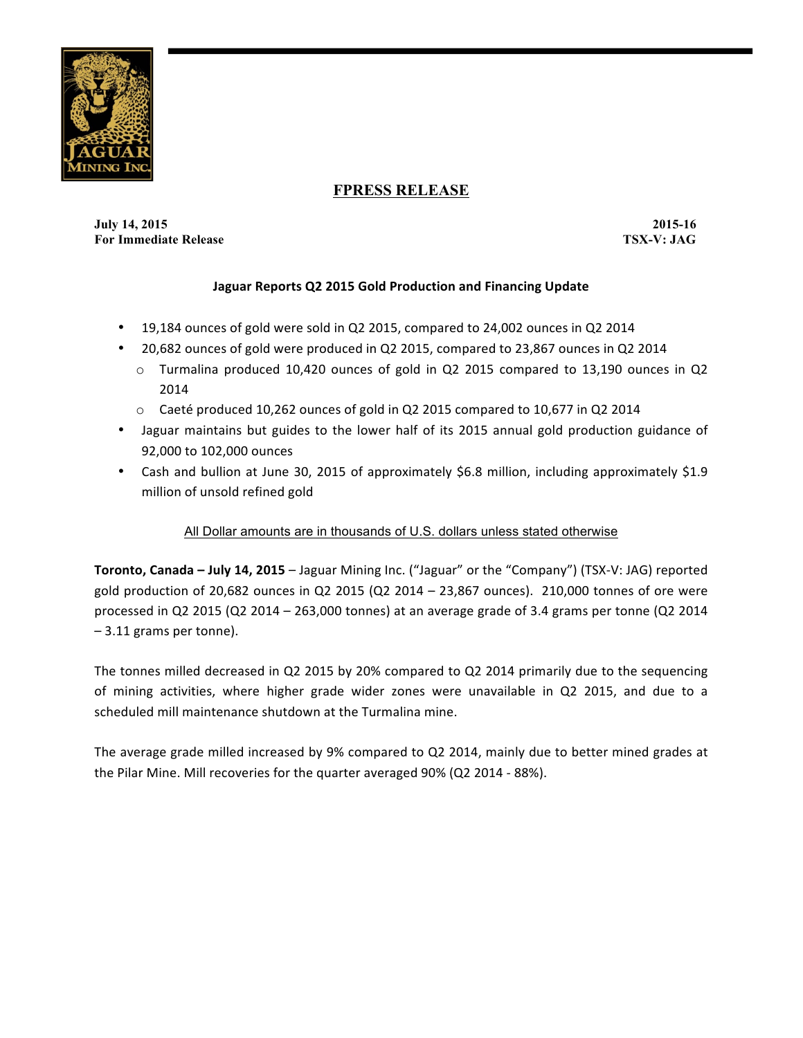

# **FPRESS RELEASE**

**July 14, 2015 2015-16 For Immediate Release TSX-V: JAG**

## **Jaguar Reports Q2 2015 Gold Production and Financing Update**

- 19,184 ounces of gold were sold in Q2 2015, compared to 24,002 ounces in Q2 2014
- 20,682 ounces of gold were produced in Q2 2015, compared to 23,867 ounces in Q2 2014
	- $\circ$  Turmalina produced 10,420 ounces of gold in Q2 2015 compared to 13,190 ounces in Q2 2014
	- $\circ$  Caeté produced 10,262 ounces of gold in Q2 2015 compared to 10,677 in Q2 2014
- Jaguar maintains but guides to the lower half of its 2015 annual gold production guidance of 92,000 to 102,000 ounces
- Cash and bullion at June 30, 2015 of approximately \$6.8 million, including approximately \$1.9 million of unsold refined gold

### All Dollar amounts are in thousands of U.S. dollars unless stated otherwise

**Toronto, Canada – July 14, 2015** – Jaguar Mining Inc. ("Jaguar" or the "Company") (TSX-V: JAG) reported gold production of 20,682 ounces in Q2 2015 (Q2 2014 – 23,867 ounces). 210,000 tonnes of ore were processed in Q2 2015 (Q2 2014 – 263,000 tonnes) at an average grade of 3.4 grams per tonne (Q2 2014  $-3.11$  grams per tonne).

The tonnes milled decreased in Q2 2015 by 20% compared to Q2 2014 primarily due to the sequencing of mining activities, where higher grade wider zones were unavailable in Q2 2015, and due to a scheduled mill maintenance shutdown at the Turmalina mine.

The average grade milled increased by 9% compared to Q2 2014, mainly due to better mined grades at the Pilar Mine. Mill recoveries for the quarter averaged 90% (Q2 2014 - 88%).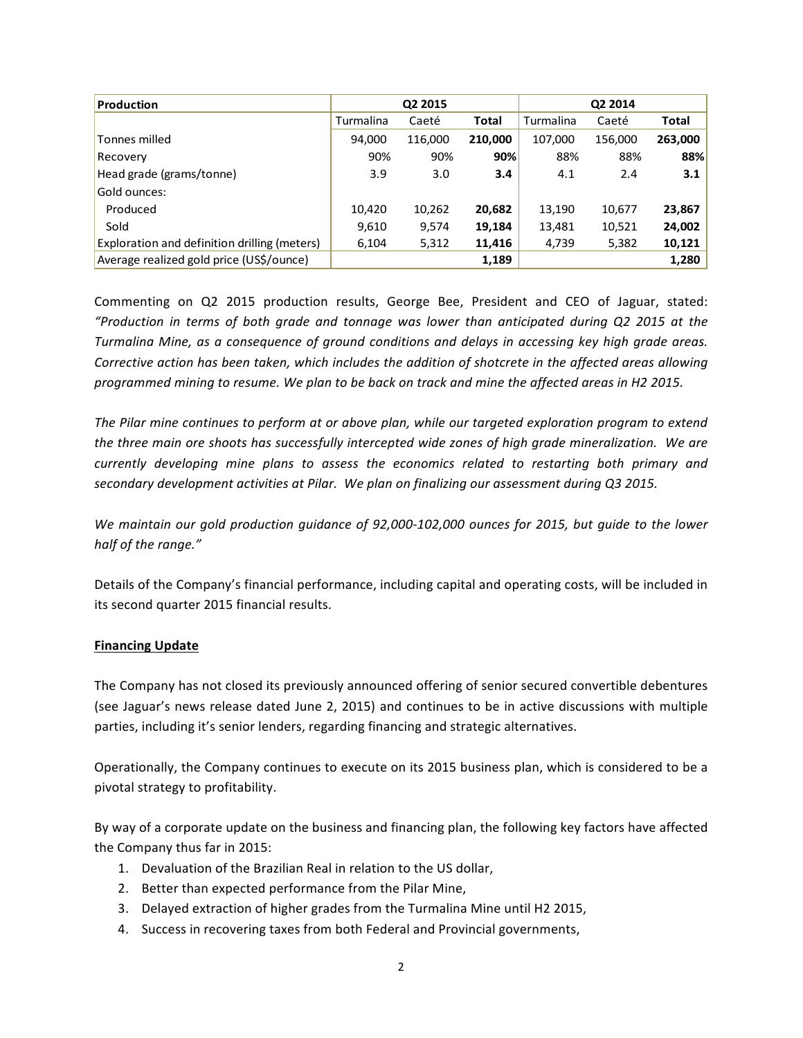| <b>Production</b>                            | Q2 2015   |         |              | Q2 2014   |         |         |
|----------------------------------------------|-----------|---------|--------------|-----------|---------|---------|
|                                              | Turmalina | Caeté   | <b>Total</b> | Turmalina | Caeté   | Total   |
| Tonnes milled                                | 94,000    | 116,000 | 210,000      | 107,000   | 156,000 | 263,000 |
| Recovery                                     | 90%       | 90%     | 90%          | 88%       | 88%     | 88%     |
| Head grade (grams/tonne)                     | 3.9       | 3.0     | 3.4          | 4.1       | 2.4     | 3.1     |
| Gold ounces:                                 |           |         |              |           |         |         |
| Produced                                     | 10,420    | 10,262  | 20,682       | 13,190    | 10,677  | 23,867  |
| Sold                                         | 9,610     | 9,574   | 19,184       | 13,481    | 10,521  | 24,002  |
| Exploration and definition drilling (meters) | 6,104     | 5,312   | 11,416       | 4,739     | 5,382   | 10,121  |
| Average realized gold price (US\$/ounce)     |           |         | 1,189        |           |         | 1,280   |

Commenting on Q2 2015 production results, George Bee, President and CEO of Jaguar, stated: *"Production in terms of both grade and tonnage was lower than anticipated during Q2 2015 at the Turmalina Mine, as a consequence of ground conditions and delays in accessing key high grade areas. Corrective action has been taken, which includes the addition of shotcrete in the affected areas allowing* programmed mining to resume. We plan to be back on track and mine the affected areas in H2 2015.

The Pilar mine continues to perform at or above plan, while our targeted exploration program to extend the three main ore shoots has successfully intercepted wide zones of high grade mineralization. We are *currently developing mine plans to assess the economics related to restarting both primary and* secondary development activities at Pilar. We plan on finalizing our assessment during Q3 2015.

*We maintain our gold production guidance of 92,000-102,000 ounces for 2015, but guide to the lower* half of the range."

Details of the Company's financial performance, including capital and operating costs, will be included in its second quarter 2015 financial results.

### **Financing Update**

The Company has not closed its previously announced offering of senior secured convertible debentures (see Jaguar's news release dated June 2, 2015) and continues to be in active discussions with multiple parties, including it's senior lenders, regarding financing and strategic alternatives.

Operationally, the Company continues to execute on its 2015 business plan, which is considered to be a pivotal strategy to profitability.

By way of a corporate update on the business and financing plan, the following key factors have affected the Company thus far in 2015:

- 1. Devaluation of the Brazilian Real in relation to the US dollar,
- 2. Better than expected performance from the Pilar Mine,
- 3. Delayed extraction of higher grades from the Turmalina Mine until H2 2015,
- 4. Success in recovering taxes from both Federal and Provincial governments,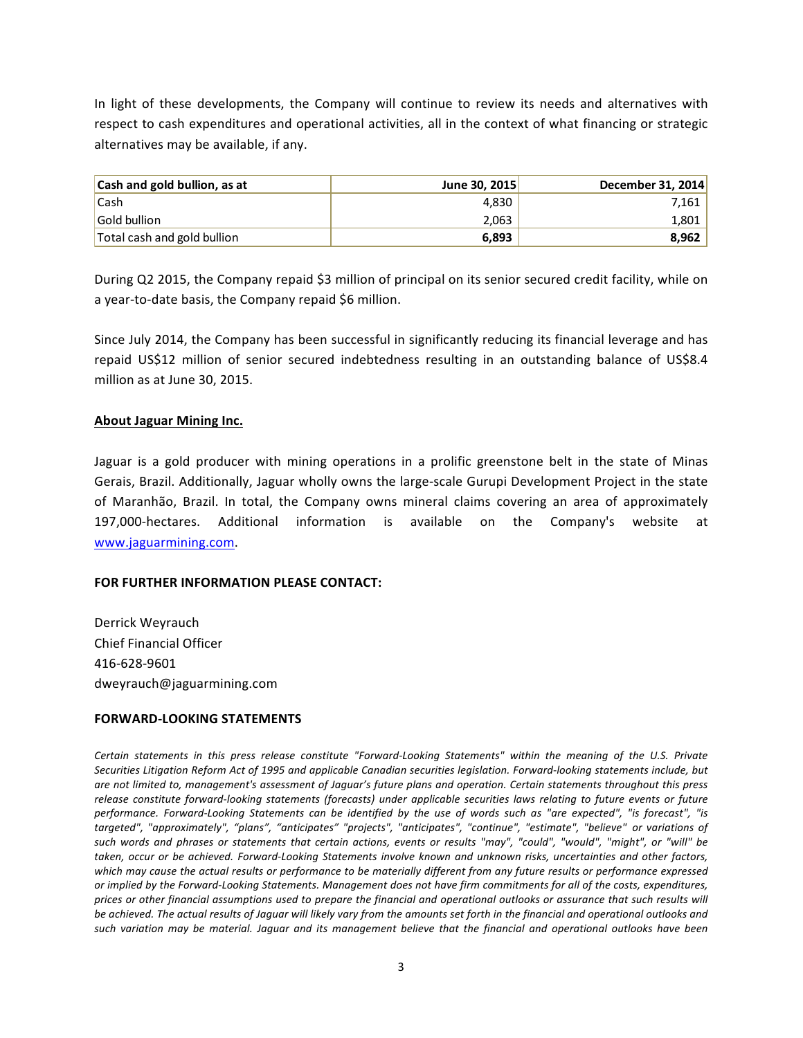In light of these developments, the Company will continue to review its needs and alternatives with respect to cash expenditures and operational activities, all in the context of what financing or strategic alternatives may be available, if any.

| <b>Cash and gold bullion, as at</b> | June 30, 2015 | December 31, 2014 |
|-------------------------------------|---------------|-------------------|
| <b>Cash</b>                         | 4.830         | 7,161             |
| Gold bullion                        | 2.063         | 1,801             |
| Total cash and gold bullion         | 6,893         | 8.962             |

During Q2 2015, the Company repaid \$3 million of principal on its senior secured credit facility, while on a year-to-date basis, the Company repaid \$6 million.

Since July 2014, the Company has been successful in significantly reducing its financial leverage and has repaid US\$12 million of senior secured indebtedness resulting in an outstanding balance of US\$8.4 million as at June 30, 2015.

#### **About Jaguar Mining Inc.**

Jaguar is a gold producer with mining operations in a prolific greenstone belt in the state of Minas Gerais, Brazil. Additionally, Jaguar wholly owns the large-scale Gurupi Development Project in the state of Maranhão, Brazil. In total, the Company owns mineral claims covering an area of approximately 197,000-hectares. Additional information is available on the Company's website at www.jaguarmining.com.

#### **FOR FURTHER INFORMATION PLEASE CONTACT:**

Derrick Weyrauch Chief Financial Officer 416-628-9601 dweyrauch@jaguarmining.com

#### **FORWARD-LOOKING STATEMENTS**

Certain statements in this press release constitute "Forward-Looking Statements" within the meaning of the U.S. Private Securities Litigation Reform Act of 1995 and applicable Canadian securities legislation. Forward-looking statements include, but are not limited to, management's assessment of Jaguar's future plans and operation. Certain statements throughout this press release constitute forward-looking statements (forecasts) under applicable securities laws relating to future events or future performance. Forward-Looking Statements can be identified by the use of words such as "are expected", "is forecast", "is targeted", "approximately", "plans", "anticipates" "projects", "anticipates", "continue", "estimate", "believe" or variations of such words and phrases or statements that certain actions, events or results "may", "could", "would", "might", or "will" be taken, occur or be achieved. Forward-Looking Statements involve known and unknown risks, uncertainties and other factors, which may cause the actual results or performance to be materially different from any future results or performance expressed or implied by the Forward-Looking Statements. Management does not have firm commitments for all of the costs, expenditures, prices or other financial assumptions used to prepare the financial and operational outlooks or assurance that such results will be achieved. The actual results of Jaguar will likely vary from the amounts set forth in the financial and operational outlooks and such variation may be material. Jaguar and its management believe that the financial and operational outlooks have been